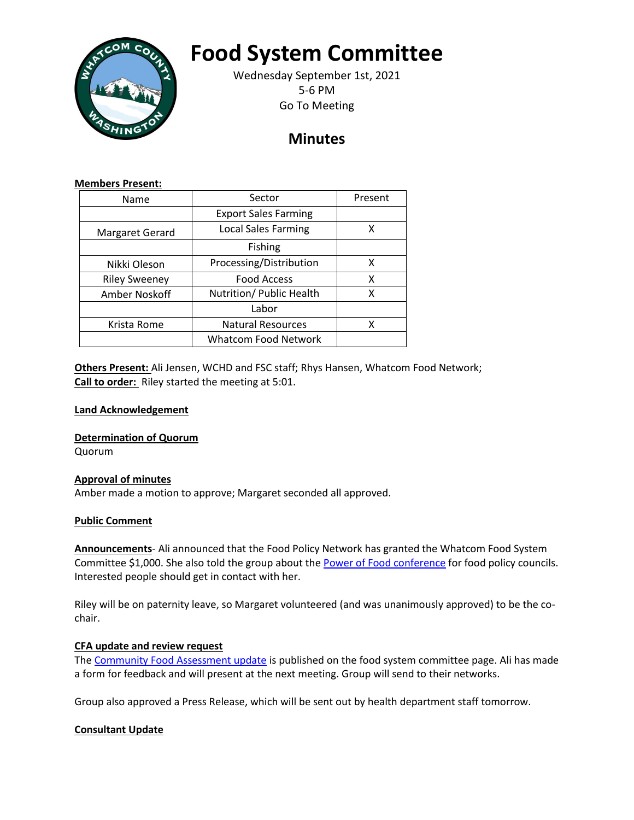

# **Food System Committee**

Wednesday September 1st, 2021 5-6 PM Go To Meeting

# **Minutes**

#### **Members Present:**

| Name                 | Sector                      | Present |
|----------------------|-----------------------------|---------|
|                      | <b>Export Sales Farming</b> |         |
| Margaret Gerard      | <b>Local Sales Farming</b>  | x       |
|                      | Fishing                     |         |
| Nikki Oleson         | Processing/Distribution     | x       |
| <b>Riley Sweeney</b> | <b>Food Access</b>          | х       |
| Amber Noskoff        | Nutrition/ Public Health    | x       |
|                      | Labor                       |         |
| Krista Rome          | <b>Natural Resources</b>    | x       |
|                      | <b>Whatcom Food Network</b> |         |

**Others Present:** Ali Jensen, WCHD and FSC staff; Rhys Hansen, Whatcom Food Network; **Call to order:** Riley started the meeting at 5:01.

### **Land Acknowledgement**

**Determination of Quorum**

Quorum

## **Approval of minutes**

Amber made a motion to approve; Margaret seconded all approved.

#### **Public Comment**

**Announcements**- Ali announced that the Food Policy Network has granted the Whatcom Food System Committee \$1,000. She also told the group about th[e Power of Food conference](https://www.foodpolicynetworks.org/events/the-power-of-food/index.html) for food policy councils. Interested people should get in contact with her.

Riley will be on paternity leave, so Margaret volunteered (and was unanimously approved) to be the cochair.

#### **CFA update and review request**

The [Community Food Assessment update](https://www.whatcomcounty.us/DocumentCenter/View/59394/Community-Food-Assessment-Draft-2021) is published on the food system committee page. Ali has made a form for feedback and will present at the next meeting. Group will send to their networks.

Group also approved a Press Release, which will be sent out by health department staff tomorrow.

#### **Consultant Update**